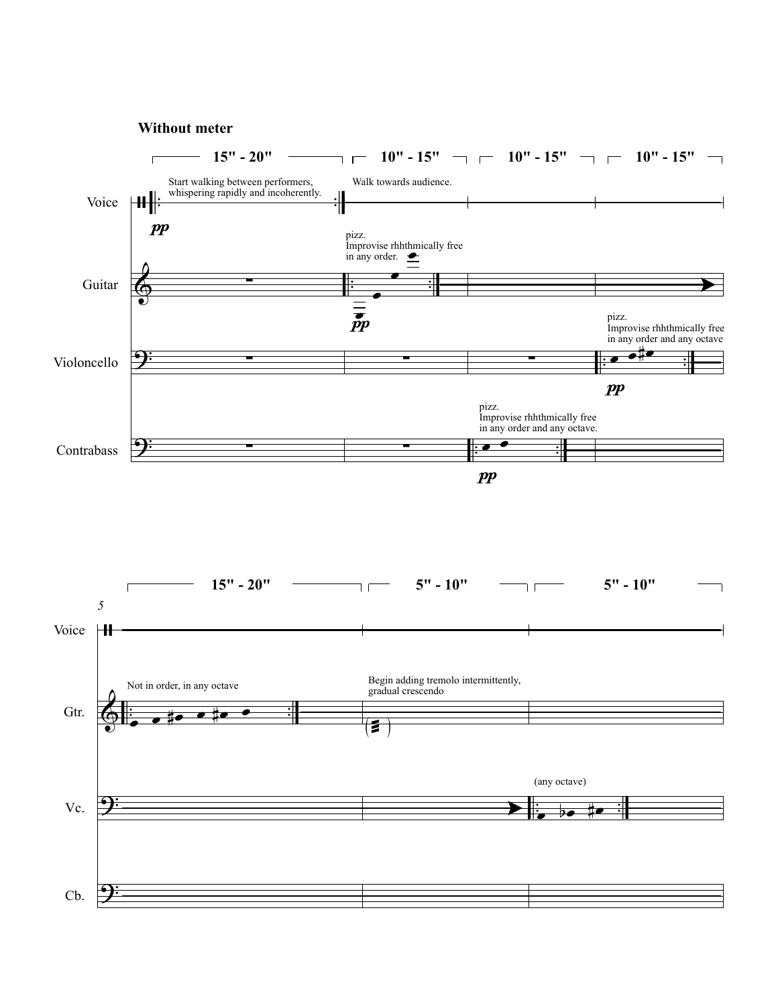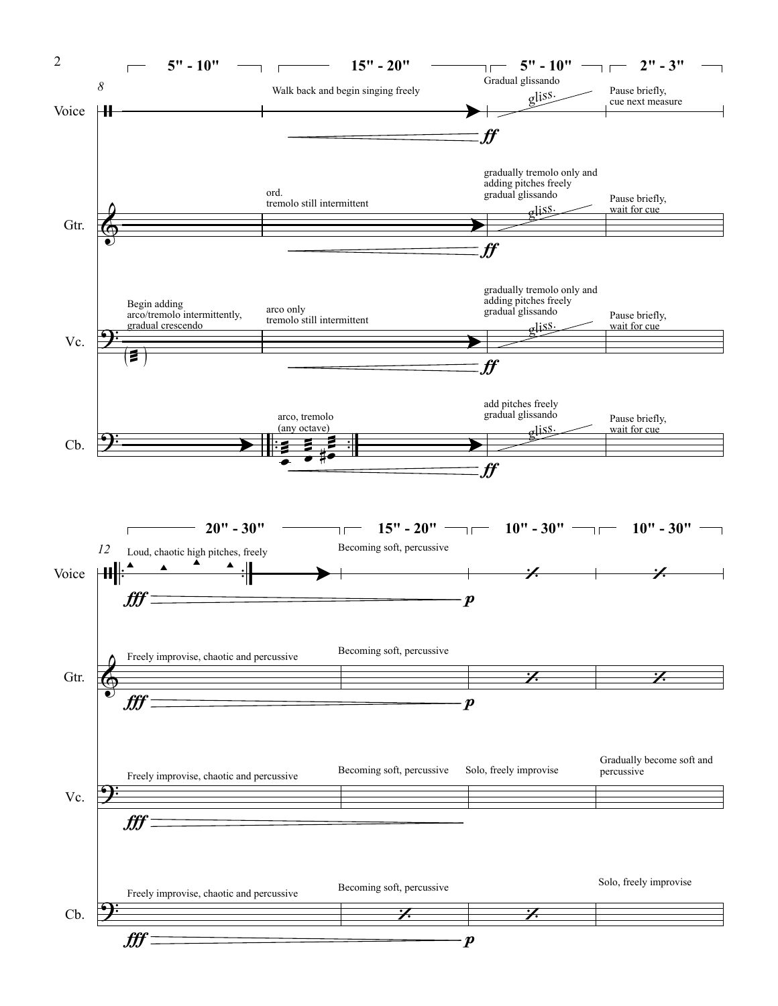